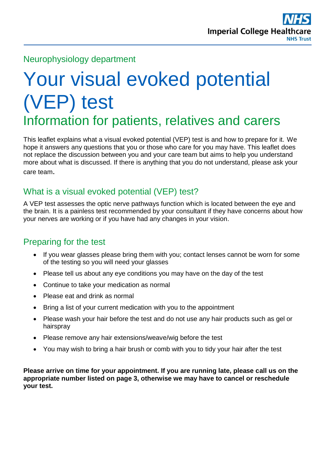

#### Neurophysiology department

# Your visual evoked potential (VEP) test Information for patients, relatives and carers

This leaflet explains what a visual evoked potential (VEP) test is and how to prepare for it. We hope it answers any questions that you or those who care for you may have. This leaflet does not replace the discussion between you and your care team but aims to help you understand more about what is discussed. If there is anything that you do not understand, please ask your care team.

### What is a visual evoked potential (VEP) test?

A VEP test assesses the optic nerve pathways function which is located between the eye and the brain. It is a painless test recommended by your consultant if they have concerns about how your nerves are working or if you have had any changes in your vision.

#### Preparing for the test

- If you wear glasses please bring them with you; contact lenses cannot be worn for some of the testing so you will need your glasses
- Please tell us about any eye conditions you may have on the day of the test
- Continue to take your medication as normal
- Please eat and drink as normal
- Bring a list of your current medication with you to the appointment
- Please wash your hair before the test and do not use any hair products such as gel or hairspray
- Please remove any hair extensions/weave/wig before the test
- You may wish to bring a hair brush or comb with you to tidy your hair after the test

**Please arrive on time for your appointment. If you are running late, please call us on the appropriate number listed on page 3, otherwise we may have to cancel or reschedule your test.**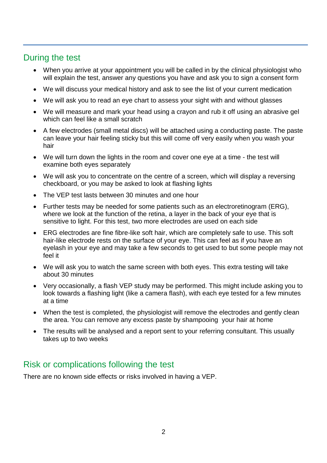## During the test

- When you arrive at your appointment you will be called in by the clinical physiologist who will explain the test, answer any questions you have and ask you to sign a consent form
- We will discuss your medical history and ask to see the list of your current medication
- We will ask you to read an eye chart to assess your sight with and without glasses
- We will measure and mark your head using a crayon and rub it off using an abrasive gel which can feel like a small scratch
- A few electrodes (small metal discs) will be attached using a conducting paste. The paste can leave your hair feeling sticky but this will come off very easily when you wash your hair
- We will turn down the lights in the room and cover one eye at a time the test will examine both eyes separately
- We will ask you to concentrate on the centre of a screen, which will display a reversing checkboard, or you may be asked to look at flashing lights
- The VEP test lasts between 30 minutes and one hour
- Further tests may be needed for some patients such as an electroretinogram (ERG), where we look at the function of the retina, a layer in the back of your eve that is sensitive to light. For this test, two more electrodes are used on each side
- ERG electrodes are fine fibre-like soft hair, which are completely safe to use. This soft hair-like electrode rests on the surface of your eye. This can feel as if you have an eyelash in your eye and may take a few seconds to get used to but some people may not feel it
- We will ask you to watch the same screen with both eyes. This extra testing will take about 30 minutes
- Very occasionally, a flash VEP study may be performed. This might include asking you to look towards a flashing light (like a camera flash), with each eye tested for a few minutes at a time
- When the test is completed, the physiologist will remove the electrodes and gently clean the area. You can remove any excess paste by shampooing your hair at home
- The results will be analysed and a report sent to your referring consultant. This usually takes up to two weeks

#### Risk or complications following the test

There are no known side effects or risks involved in having a VEP.